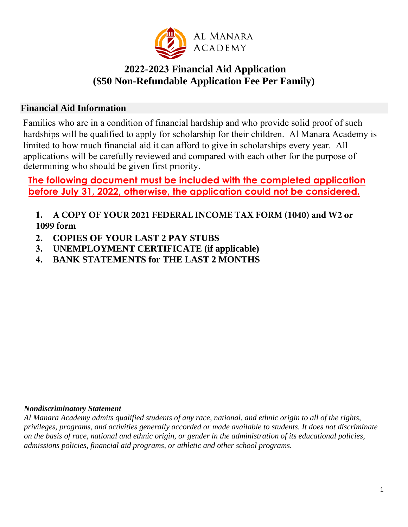

# **2022-2023 Financial Aid Application (\$50 Non-Refundable Application Fee Per Family)**

### **Financial Aid Information**

Families who are in a condition of financial hardship and who provide solid proof of such hardships will be qualified to apply for scholarship for their children. Al Manara Academy is limited to how much financial aid it can afford to give in scholarships every year. All applications will be carefully reviewed and compared with each other for the purpose of determining who should be given first priority.

# **The following document must be included with the completed application before July 31, 2022, otherwise, the application could not be considered.**

**1. A COPY OF YOUR 2021 FEDERAL INCOME TAX FORM (1040) and W2 or 1099 form**

- **2. COPIES OF YOUR LAST 2 PAY STUBS**
- **3. UNEMPLOYMENT CERTIFICATE (if applicable)**
- **4. BANK STATEMENTS for THE LAST 2 MONTHS**

#### *Nondiscriminatory Statement*

*Al Manara Academy admits qualified students of any race, national, and ethnic origin to all of the rights, privileges, programs, and activities generally accorded or made available to students. It does not discriminate on the basis of race, national and ethnic origin, or gender in the administration of its educational policies, admissions policies, financial aid programs, or athletic and other school programs.*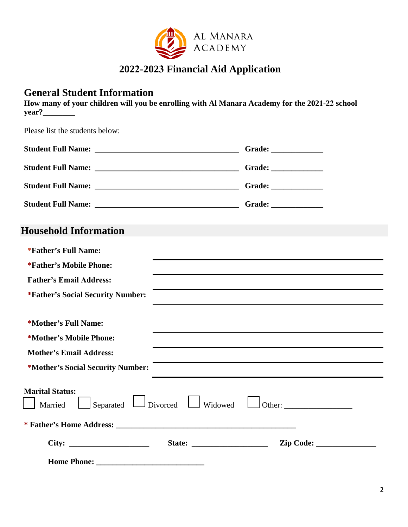

# **2022-2023 Financial Aid Application**

## **General Student Information**

**How many of your children will you be enrolling with Al Manara Academy for the 2021-22 school year?\_\_\_\_\_\_\_\_** 

Please list the students below:

|                                                                                                                                                   | Grade: ____________ |
|---------------------------------------------------------------------------------------------------------------------------------------------------|---------------------|
|                                                                                                                                                   |                     |
|                                                                                                                                                   |                     |
| <b>Student Full Name:</b><br><u> 2000 - 2000 - 2000 - 2000 - 2000 - 2000 - 2000 - 2000 - 2000 - 2000 - 2000 - 2000 - 2000 - 2000 - 2000 - 200</u> |                     |

# **Household Information**

| *Father's Full Name:                     |                                                 |                                                                                                                           |
|------------------------------------------|-------------------------------------------------|---------------------------------------------------------------------------------------------------------------------------|
| <i>*Father's</i> Mobile Phone:           |                                                 |                                                                                                                           |
| <b>Father's Email Address:</b>           |                                                 |                                                                                                                           |
| <i>*Father's Social Security Number:</i> |                                                 | <u> 1989 - Johann Stoff, amerikansk politiker (* 1908)</u><br><u> 1989 - Johann Stoff, Amerikaansk politiker († 1908)</u> |
| *Mother's Full Name:                     |                                                 |                                                                                                                           |
| *Mother's Mobile Phone:                  |                                                 |                                                                                                                           |
| <b>Mother's Email Address:</b>           |                                                 | and the control of the control of the control of the control of the control of the control of the control of the          |
| *Mother's Social Security Number:        |                                                 |                                                                                                                           |
| <b>Marital Status:</b><br>Married        | $\Box$ Separated $\Box$ Divorced $\Box$ Widowed |                                                                                                                           |
|                                          |                                                 |                                                                                                                           |
|                                          |                                                 |                                                                                                                           |
|                                          |                                                 |                                                                                                                           |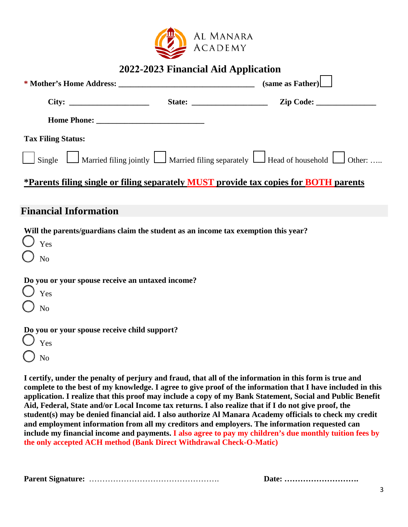

### **2022-2023 Financial Aid Application**

|                              | (same as Father)                                                                            |
|------------------------------|---------------------------------------------------------------------------------------------|
|                              |                                                                                             |
|                              |                                                                                             |
| <b>Tax Filing Status:</b>    |                                                                                             |
|                              | Single Married filing jointly Married filing separately Head of household Other:            |
|                              | <u>*Parents filing single or filing separately MUST provide tax copies for BOTH parents</u> |
| <b>Financial Information</b> |                                                                                             |
|                              |                                                                                             |

**Will the parents/guardians claim the student as an income tax exemption this year?**  Yes No **Do you or your spouse receive an untaxed income?**  Yes No **Do you or your spouse receive child support?** Yes No

**I certify, under the penalty of perjury and fraud, that all of the information in this form is true and complete to the best of my knowledge. I agree to give proof of the information that I have included in this application. I realize that this proof may include a copy of my Bank Statement, Social and Public Benefit Aid, Federal, State and/or Local Income tax returns. I also realize that if I do not give proof, the student(s) may be denied financial aid. I also authorize Al Manara Academy officials to check my credit and employment information from all my creditors and employers. The information requested can include my financial income and payments. I also agree to pay my children's due monthly tuition fees by the only accepted ACH method (Bank Direct Withdrawal Check-O-Matic)**

**Parent Signature:** …………………………………………. **Date: ……………………….**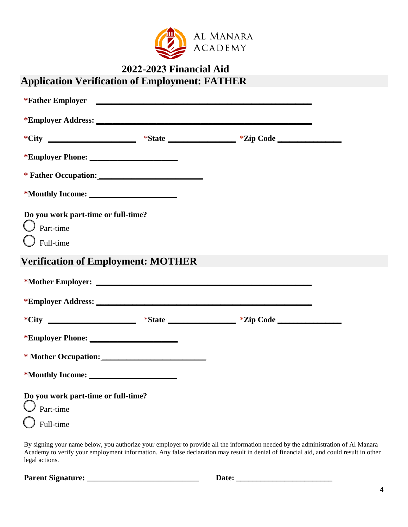

|                                                                                | 2022-2023 Financial Aid |                                                                                  |  |
|--------------------------------------------------------------------------------|-------------------------|----------------------------------------------------------------------------------|--|
| <b>Application Verification of Employment: FATHER</b>                          |                         |                                                                                  |  |
|                                                                                |                         |                                                                                  |  |
|                                                                                |                         |                                                                                  |  |
|                                                                                |                         | *City ______________________ *State ______________ *Zip Code ___________________ |  |
| *Employer Phone:                                                               |                         |                                                                                  |  |
|                                                                                |                         |                                                                                  |  |
|                                                                                |                         |                                                                                  |  |
| Do you work part-time or full-time?<br>$\bigcup$ Part-time<br>$\int$ Full-time |                         |                                                                                  |  |
| <b>Verification of Employment: MOTHER</b>                                      |                         |                                                                                  |  |
|                                                                                |                         |                                                                                  |  |
|                                                                                |                         |                                                                                  |  |
|                                                                                |                         |                                                                                  |  |
|                                                                                |                         |                                                                                  |  |
|                                                                                |                         |                                                                                  |  |
| *Monthly Income: ______                                                        |                         |                                                                                  |  |
| Do you work part-time or full-time?                                            |                         |                                                                                  |  |
| Part-time<br>Full-time                                                         |                         |                                                                                  |  |
|                                                                                |                         |                                                                                  |  |

By signing your name below, you authorize your employer to provide all the information needed by the administration of Al Manara Academy to verify your employment information. Any false declaration may result in denial of financial aid, and could result in other legal actions.

**Parent Signature: \_\_\_\_\_\_\_\_\_\_\_\_\_\_\_\_\_\_\_\_\_\_\_\_\_\_\_\_ Date: \_\_\_\_\_\_\_\_\_\_\_\_\_\_\_\_\_\_\_\_\_\_\_\_**